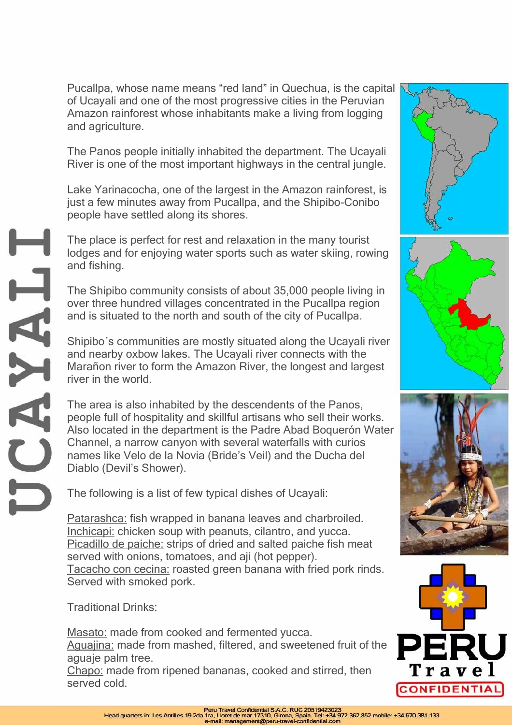The place is perfect for rest and relaxation in the many tourist lodges and for enjoying water sports such as water skiing, rowing and fishing.

The Shipibo community consists of about 35,000 people living in over three hundred villages concentrated in the Pucallpa region and is situated to the north and south of the city of Pucallpa.

Shipibo´s communities are mostly situated along the Ucayali river and nearby oxbow lakes. The Ucayali river connects with the Marañon river to form the Amazon River, the longest and largest river in the world.

The area is also inhabited by the descendents of the Panos, people full of hospitality and skillful artisans who sell their works. Also located in the department is the Padre Abad Boquerón Water Channel, a narrow canyon with several waterfalls with curios names like Velo de la Novia (Bride's Veil) and the Ducha del Diablo (Devil's Shower).

The following is a list of few typical dishes of Ucayali:

Patarashca: fish wrapped in banana leaves and charbroiled. Inchicapi: chicken soup with peanuts, cilantro, and yucca. Picadillo de paiche: strips of dried and salted paiche fish meat served with onions, tomatoes, and aji (hot pepper). Tacacho con cecina: roasted green banana with fried pork rinds. Served with smoked pork.

Traditional Drinks:

and agriculture.

Masato: made from cooked and fermented yucca. Aguajina: made from mashed, filtered, and sweetened fruit of the aguaje palm tree.

Chapo: made from ripened bananas, cooked and stirred, then served cold.

The Panos people initially inhabited the department. The Ucayali River is one of the most important highways in the central jungle. Lake Yarinacocha, one of the largest in the Amazon rainforest, is

of Ucayali and one of the most progressive cities in the Peruvian Amazon rainforest whose inhabitants make a living from logging

just a few minutes away from Pucallpa, and the Shipibo-Conibo people have settled along its shores.